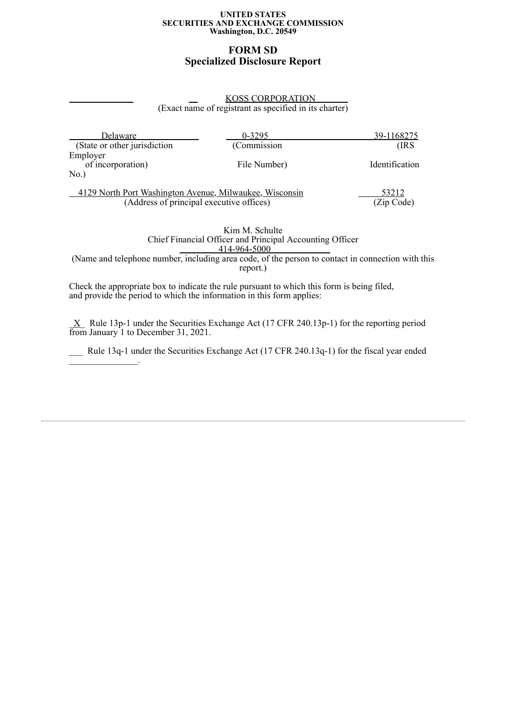#### **UNITED STATES SECURITIES AND EXCHANGE COMMISSION Washington, D.C. 20549**

# **FORM SD Specialized Disclosure Report**

### KOSS CORPORATION (Exact name of registrant as specified in its charter)

| Delaware                                                                                            | $0 - 3295$   | <u>39-1168275</u>   |
|-----------------------------------------------------------------------------------------------------|--------------|---------------------|
| (State or other jurisdiction)                                                                       | (Commission  | (IRS                |
| Employer<br>of incorporation)<br>$No.$ )                                                            | File Number) | Identification      |
| 4129 North Port Washington Avenue, Milwaukee, Wisconsin<br>(Address of principal executive offices) |              | 53212<br>(Zip Code) |

Kim M. Schulte Chief Financial Officer and Principal Accounting Officer 414-964-5000<sup>-1</sup>

(Name and telephone number, including area code, of the person to contact in connection with this report.)

Check the appropriate box to indicate the rule pursuant to which this form is being filed, and provide the period to which the information in this form applies:

 $\underline{X}$  Rule 13p-1 under the Securities Exchange Act (17 CFR 240.13p-1) for the reporting period from January 1 to December 31, 2021.

Rule 13q-1 under the Securities Exchange Act (17 CFR 240.13q-1) for the fiscal year ended  $\overline{\mathcal{L}}$  , and  $\overline{\mathcal{L}}$  , and  $\overline{\mathcal{L}}$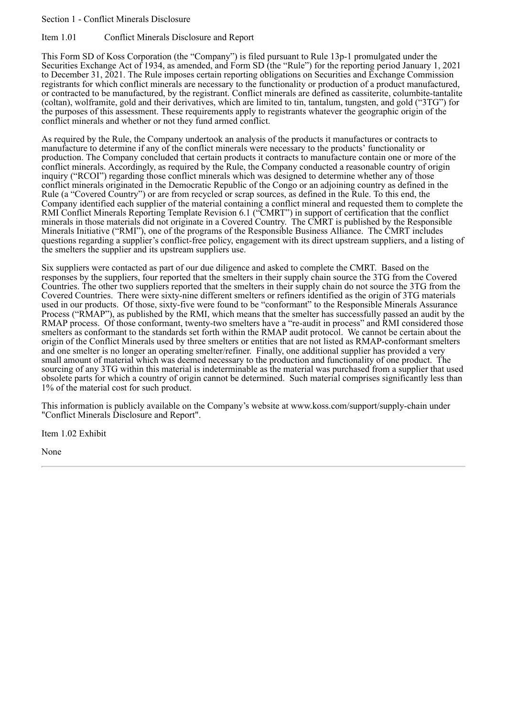### Section 1 - Conflict Minerals Disclosure

#### Item 1.01 Conflict Minerals Disclosure and Report

This Form SD of Koss Corporation (the "Company") is filed pursuant to Rule 13p-1 promulgated under the Securities Exchange Act of 1934, as amended, and Form SD (the "Rule") for the reporting period January 1, 2021 to December 31, 2021. The Rule imposes certain reporting obligations on Securities and Exchange Commission registrants for which conflict minerals are necessary to the functionality or production of a product manufactured, or contracted to be manufactured, by the registrant. Conflict minerals are defined as cassiterite, columbite-tantalite (coltan), wolframite, gold and their derivatives, which are limited to tin, tantalum, tungsten, and gold ("3TG") for the purposes of this assessment. These requirements apply to registrants whatever the geographic origin of the conflict minerals and whether or not they fund armed conflict.

As required by the Rule, the Company undertook an analysis of the products it manufactures or contracts to manufacture to determine if any of the conflict minerals were necessary to the products' functionality or production. The Company concluded that certain products it contracts to manufacture contain one or more of the conflict minerals. Accordingly, as required by the Rule, the Company conducted a reasonable country of origin inquiry ("RCOI") regarding those conflict minerals which was designed to determine whether any of those conflict minerals originated in the Democratic Republic of the Congo or an adjoining country as defined in the Rule (a "Covered Country") or are from recycled or scrap sources, as defined in the Rule. To this end, the Company identified each supplier of the material containing a conflict mineral and requested them to complete the RMI Conflict Minerals Reporting Template Revision 6.1 ("CMRT") in support of certification that the conflict minerals in those materials did not originate in a Covered Country. The CMRT is published by the Responsible Minerals Initiative ("RMI"), one of the programs of the Responsible Business Alliance. The CMRT includes questions regarding a supplier's conflict-free policy, engagement with its direct upstream suppliers, and a listing of the smelters the supplier and its upstream suppliers use.

Six suppliers were contacted as part of our due diligence and asked to complete the CMRT. Based on the responses by the suppliers, four reported that the smelters in their supply chain source the 3TG from the Covered Countries. The other two suppliers reported that the smelters in their supply chain do not source the 3TG from the Covered Countries. There were sixty-nine different smelters or refiners identified as the origin of 3TG materials used in our products. Of those, sixty-five were found to be "conformant" to the Responsible Minerals Assurance Process ("RMAP"), as published by the RMI, which means that the smelter has successfully passed an audit by the RMAP process. Of those conformant, twenty-two smelters have a "re-audit in process" and RMI considered those smelters as conformant to the standards set forth within the RMAP audit protocol. We cannot be certain about the origin of the Conflict Minerals used by three smelters or entities that are not listed as RMAP-conformant smelters and one smelter is no longer an operating smelter/refiner. Finally, one additional supplier has provided a very small amount of material which was deemed necessary to the production and functionality of one product. The sourcing of any 3TG within this material is indeterminable as the material was purchased from a supplier that used obsolete parts for which a country of origin cannot be determined. Such material comprises significantly less than 1% of the material cost for such product.

This information is publicly available on the Company's website at www.koss.com/support/supply-chain under "Conflict Minerals Disclosure and Report".

Item 1.02 Exhibit

None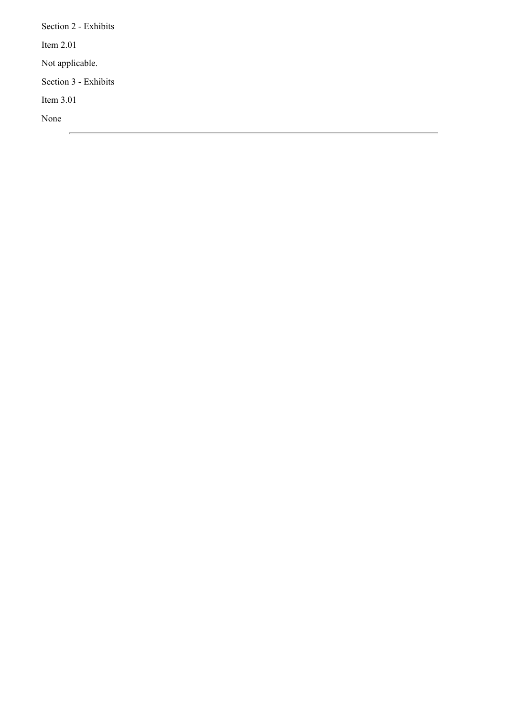Section 2 - Exhibits Item 2.01 Not applicable. Section 3 - Exhibits Item 3.01 None